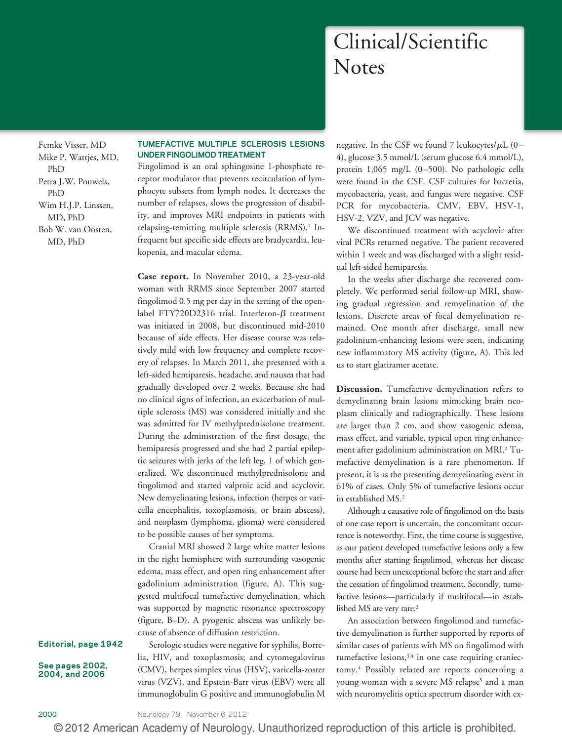# Clinical/Scientific **Notes**

Femke Visser, MD Mike P. Wattjes, MD, PhD Petra J.W. Pouwels, PhD Wim H.J.P. Linssen, MD, PhD Bob W. van Oosten, MD, PhD

# **TUMEFACTIVE MULTIPLE SCLEROSIS LESIONS UNDER FINGOLIMOD TREATMENT**

Fingolimod is an oral sphingosine 1-phosphate receptor modulator that prevents recirculation of lymphocyte subsets from lymph nodes. It decreases the number of relapses, slows the progression of disability, and improves MRI endpoints in patients with relapsing-remitting multiple sclerosis (RRMS).<sup>1</sup> Infrequent but specific side effects are bradycardia, leukopenia, and macular edema.

**Case report.** In November 2010, a 23-year-old woman with RRMS since September 2007 started fingolimod 0.5 mg per day in the setting of the openlabel FTY720D2316 trial. Interferon- $\beta$  treatment was initiated in 2008, but discontinued mid-2010 because of side effects. Her disease course was relatively mild with low frequency and complete recovery of relapses. In March 2011, she presented with a left-sided hemiparesis, headache, and nausea that had gradually developed over 2 weeks. Because she had no clinical signs of infection, an exacerbation of multiple sclerosis (MS) was considered initially and she was admitted for IV methylprednisolone treatment. During the administration of the first dosage, the hemiparesis progressed and she had 2 partial epileptic seizures with jerks of the left leg, 1 of which generalized. We discontinued methylprednisolone and fingolimod and started valproic acid and acyclovir. New demyelinating lesions, infection (herpes or varicella encephalitis, toxoplasmosis, or brain abscess), and neoplasm (lymphoma, glioma) were considered to be possible causes of her symptoms.

Cranial MRI showed 2 large white matter lesions in the right hemisphere with surrounding vasogenic edema, mass effect, and open ring enhancement after gadolinium administration (figure, A). This suggested multifocal tumefactive demyelination, which was supported by magnetic resonance spectroscopy (figure, B–D). A pyogenic abscess was unlikely be-

cause of absence of diffusion restriction.

Serologic studies were negative for syphilis, Borrelia, HIV, and toxoplasmosis; and cytomegalovirus (CMV), herpes simplex virus (HSV), varicella-zoster virus (VZV), and Epstein-Barr virus (EBV) were all immunoglobulin G positive and immunoglobulin M

negative. In the CSF we found 7 leukocytes/ $\mu$ L (0– 4), glucose 3.5 mmol/L (serum glucose 6.4 mmol/L), protein 1,065 mg/L (0-500). No pathologic cells were found in the CSF. CSF cultures for bacteria, mycobacteria, yeast, and fungus were negative. CSF PCR for mycobacteria, CMV, EBV, HSV-1, HSV-2, VZV, and JCV was negative.

We discontinued treatment with acyclovir after viral PCRs returned negative. The patient recovered within 1 week and was discharged with a slight residual left-sided hemiparesis.

In the weeks after discharge she recovered completely. We performed serial follow-up MRI, showing gradual regression and remyelination of the lesions. Discrete areas of focal demyelination remained. One month after discharge, small new gadolinium-enhancing lesions were seen, indicating new inflammatory MS activity (figure, A). This led us to start glatiramer acetate.

**Discussion.** Tumefactive demyelination refers to demyelinating brain lesions mimicking brain neoplasm clinically and radiographically. These lesions are larger than 2 cm, and show vasogenic edema, mass effect, and variable, typical open ring enhancement after gadolinium administration on MRI.2 Tumefactive demyelination is a rare phenomenon. If present, it is as the presenting demyelinating event in 61% of cases. Only 5% of tumefactive lesions occur in established MS.2

Although a causative role of fingolimod on the basis of one case report is uncertain, the concomitant occurrence is noteworthy. First, the time course is suggestive, as our patient developed tumefactive lesions only a few months after starting fingolimod, whereas her disease course had been unexceptional before the start and after the cessation of fingolimod treatment. Secondly, tumefactive lesions—particularly if multifocal—in established MS are very rare.<sup>2</sup>

An association between fingolimod and tumefactive demyelination is further supported by reports of similar cases of patients with MS on fingolimod with tumefactive lesions,<sup>3,4</sup> in one case requiring craniectomy.4 Possibly related are reports concerning a young woman with a severe MS relapse<sup>5</sup> and a man with neuromyelitis optica spectrum disorder with ex-

# **Editorial, page 1942**

**See pages 2002, 2004, and 2006**

© 2012 American Academy of Neurology. Unauthorized reproduction of this article is prohibited.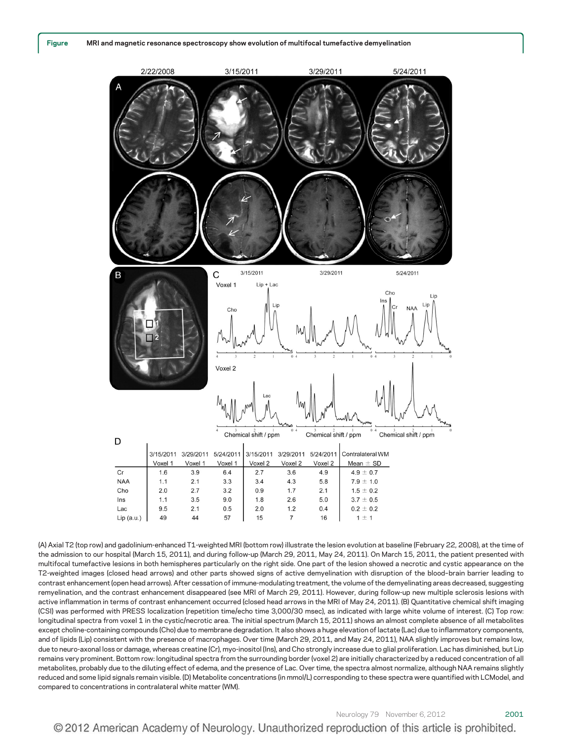

(A) Axial T2 (top row) and gadolinium-enhanced T1-weighted MRI (bottom row) illustrate the lesion evolution at baseline (February 22, 2008), at the time of the admission to our hospital (March 15, 2011), and during follow-up (March 29, 2011, May 24, 2011). On March 15, 2011, the patient presented with multifocal tumefactive lesions in both hemispheres particularly on the right side. One part of the lesion showed a necrotic and cystic appearance on the T2-weighted images (closed head arrows) and other parts showed signs of active demyelination with disruption of the blood–brain barrier leading to contrast enhancement (open head arrows). After cessation of immune-modulating treatment, the volume of the demyelinating areas decreased, suggesting remyelination, and the contrast enhancement disappeared (see MRI of March 29, 2011). However, during follow-up new multiple sclerosis lesions with active inflammation in terms of contrast enhancement occurred (closed head arrows in the MRI of May 24, 2011). (B) Quantitative chemical shift imaging (CSI) was performed with PRESS localization (repetition time/echo time 3,000/30 msec), as indicated with large white volume of interest. (C) Top row: longitudinal spectra from voxel 1 in the cystic/necrotic area. The initial spectrum (March 15, 2011) shows an almost complete absence of all metabolites except choline-containing compounds (Cho) due to membrane degradation. It also shows a huge elevation of lactate (Lac) due to inflammatory components, and of lipids (Lip) consistent with the presence of macrophages. Over time (March 29, 2011, and May 24, 2011), NAA slightly improves but remains low, due to neuro-axonal loss or damage, whereas creatine (Cr), myo-inositol (Ins), and Cho strongly increase due to glial proliferation. Lac has diminished, but Lip remains very prominent. Bottom row: longitudinal spectra from the surrounding border (voxel 2) are initially characterized by a reduced concentration of all metabolites, probably due to the diluting effect of edema, and the presence of Lac. Over time, the spectra almost normalize, although NAA remains slightly reduced and some lipid signals remain visible. (D) Metabolite concentrations (in mmol/L) corresponding to these spectra were quantified with LCModel, and compared to concentrations in contralateral white matter (WM).

© 2012 American Academy of Neurology. Unauthorized reproduction of this article is prohibited.